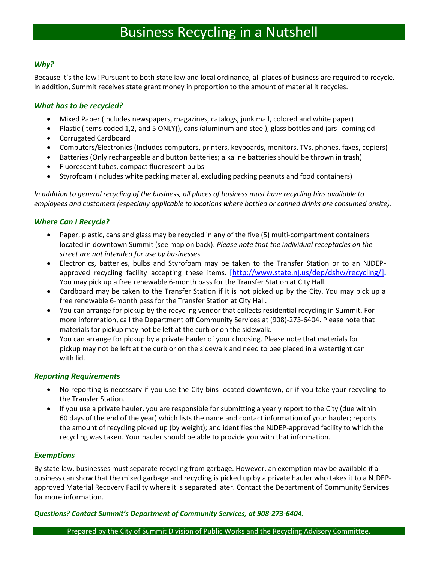### *Why?*

Because it's the law! Pursuant to both state law and local ordinance, all places of business are required to recycle. In addition, Summit receives state grant money in proportion to the amount of material it recycles.

#### *What has to be recycled?*

- Mixed Paper (Includes newspapers, magazines, catalogs, junk mail, colored and white paper)
- Plastic (items coded 1,2, and 5 ONLY)), cans (aluminum and steel), glass bottles and jars--comingled • Corrugated Cardboard
- Computers/Electronics (Includes computers, printers, keyboards, monitors, TVs, phones, faxes, copiers)
- Batteries (Only rechargeable and button batteries; alkaline batteries should be thrown in trash)
- Fluorescent tubes, compact fluorescent bulbs
- Styrofoam (Includes white packing material, excluding packing peanuts and food containers)

*In addition to general recycling of the business, all places of business must have recycling bins available to employees and customers (especially applicable to locations where bottled or canned drinks are consumed onsite).*

#### *Where Can I Recycle?*

- Paper, plastic, cans and glass may be recycled in any of the five (5) multi-compartment containers located in downtown Summit (see map on back). *Please note that the individual receptacles on the street are not intended for use by businesses.*
- Electronics, batteries, bulbs and Styrofoam may be taken to the Transfer Station or to an NJDEPapproved recycling facility accepting these items. [<http://www.state.nj.us/dep/dshw/recycling/>]. You may pick up a free renewable 6-month pass for the Transfer Station at City Hall.
- Cardboard may be taken to the Transfer Station if it is not picked up by the City. You may pick up a free renewable 6-month pass for the Transfer Station at City Hall.
- You can arrange for pickup by the recycling vendor that collects residential recycling in Summit. For more information, call the Department off Community Services at (908)-273-6404. Please note that materials for pickup may not be left at the curb or on the sidewalk.
- You can arrange for pickup by a private hauler of your choosing. Please note that materials for pickup may not be left at the curb or on the sidewalk and need to bee placed in a watertight can with lid.

#### *Reporting Requirements*

- No reporting is necessary if you use the City bins located downtown, or if you take your recycling to the Transfer Station.
- If you use a private hauler, you are responsible for submitting a yearly report to the City (due within 60 days of the end of the year) which lists the name and contact information of your hauler; reports the amount of recycling picked up (by weight); and identifies the NJDEP-approved facility to which the recycling was taken. Your hauler should be able to provide you with that information.

#### *Exemptions*

By state law, businesses must separate recycling from garbage. However, an exemption may be available if a business can show that the mixed garbage and recycling is picked up by a private hauler who takes it to a NJDEPapproved Material Recovery Facility where it is separated later. Contact the Department of Community Services for more information.

#### *Questions? Contact Summit's Department of Community Services, at 908-273-6404.*